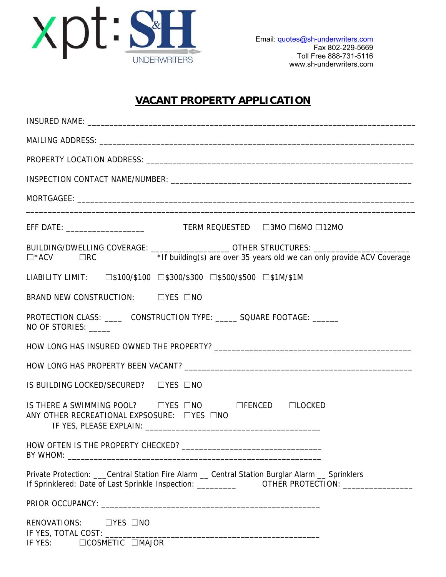

## **VACANT PROPERTY APPLICATION**

| BUILDING/DWELLING COVERAGE: ____________________OTHER STRUCTURES: ______________<br>□*ACV    □RC         *If building(s) are over 35 years old we can only provide ACV Coverage |
|---------------------------------------------------------------------------------------------------------------------------------------------------------------------------------|
| LIABILITY LIMIT: □\$100/\$100 □\$300/\$300 □\$500/\$500 □\$1M/\$1M                                                                                                              |
| BRAND NEW CONSTRUCTION: □ □YES □NO                                                                                                                                              |
| PROTECTION CLASS: _______ CONSTRUCTION TYPE: ______ SQUARE FOOTAGE: _______<br>NO OF STORIES: _____                                                                             |
|                                                                                                                                                                                 |
|                                                                                                                                                                                 |
| IS BUILDING LOCKED/SECURED? □ YES □ NO                                                                                                                                          |
| IS THERE A SWIMMING POOL? LYES LNO LEENCED LOCKED<br>ANY OTHER RECREATIONAL EXPSOSURE: DYES DNO                                                                                 |
|                                                                                                                                                                                 |
| Private Protection: ___Central Station Fire Alarm __ Central Station Burglar Alarm __ Sprinklers                                                                                |
|                                                                                                                                                                                 |
| RENOVATIONS: LYES LNO<br>IF YES: □COSMETIC □MAJOR                                                                                                                               |